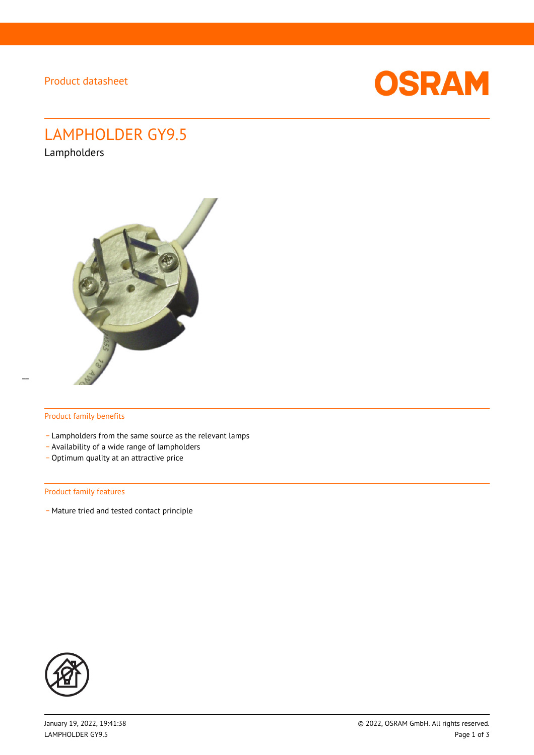Product datasheet



# LAMPHOLDER GY9.5

Lampholders



#### Product family benefits

- Lampholders from the same source as the relevant lamps
- \_ Availability of a wide range of lampholders
- Optimum quality at an attractive price

#### Product family features

- Mature tried and tested contact principle

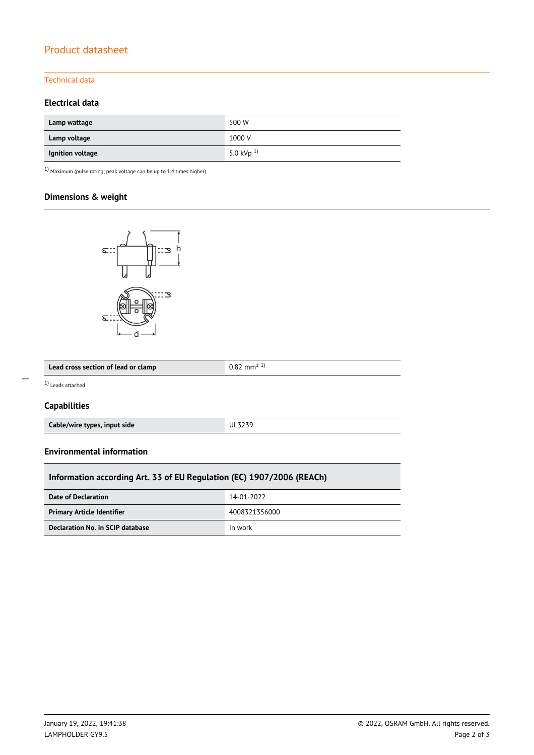# Product datasheet

## Technical data

## **Electrical data**

| Lamp wattage     | 500 W           |
|------------------|-----------------|
| Lamp voltage     | 1000 V          |
| Ignition voltage | 5.0 kVp $^{1)}$ |

 $1)$  Maximum (pulse rating; peak voltage can be up to 1.4 times higher)

## **Dimensions & weight**



| Lead cross section of lead or clamp | ⊥∠ mm <sup>2</sup> ' |
|-------------------------------------|----------------------|
|                                     |                      |

1) Leads attached

 $\overline{a}$ 

## **Capabilities**

| Cable/wire types, input side | UL3239 |
|------------------------------|--------|
|                              |        |

#### **Environmental information**

| Information according Art. 33 of EU Regulation (EC) 1907/2006 (REACh) |               |  |  |  |
|-----------------------------------------------------------------------|---------------|--|--|--|
| Date of Declaration                                                   | 14-01-2022    |  |  |  |
| <b>Primary Article Identifier</b>                                     | 4008321356000 |  |  |  |
| Declaration No. in SCIP database                                      | In work       |  |  |  |